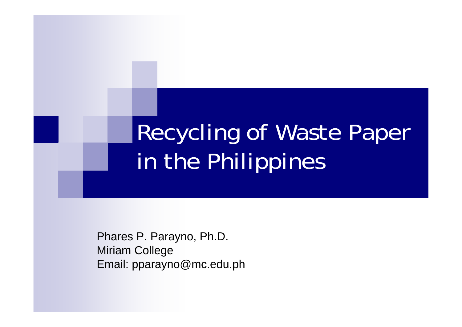# Recycling of Waste Paper in the Philippines

Phares P. Parayno, Ph.D. Miriam College Email: pparayno@mc.edu.ph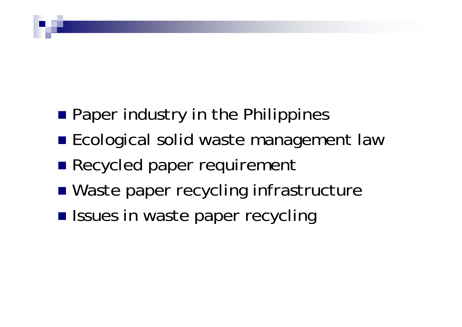- **Paper industry in the Philippines**
- **Ecological solid waste management law**
- **Recycled paper requirement**
- Waste paper recycling infrastructure
- **Issues in waste paper recycling**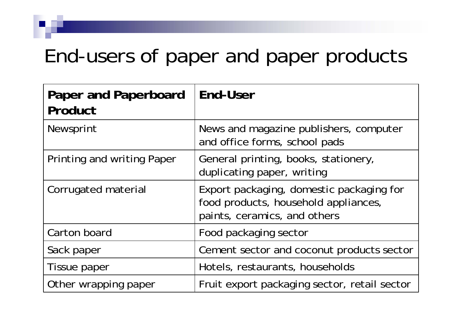### End-users of paper and paper products

| Paper and Paperboard<br>Product | <b>End-User</b>                                                                                                  |
|---------------------------------|------------------------------------------------------------------------------------------------------------------|
| Newsprint                       | News and magazine publishers, computer<br>and office forms, school pads                                          |
| Printing and writing Paper      | General printing, books, stationery,<br>duplicating paper, writing                                               |
| Corrugated material             | Export packaging, domestic packaging for<br>food products, household appliances,<br>paints, ceramics, and others |
| Carton board                    | Food packaging sector                                                                                            |
| Sack paper                      | Cement sector and coconut products sector                                                                        |
| Tissue paper                    | Hotels, restaurants, households                                                                                  |
| Other wrapping paper            | Fruit export packaging sector, retail sector                                                                     |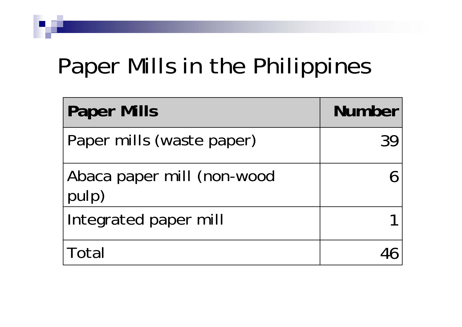# Paper Mills in the Philippines

| <b>Paper Mills</b>                  | <b>Number</b> |
|-------------------------------------|---------------|
| Paper mills (waste paper)           |               |
| Abaca paper mill (non-wood<br>pulp) |               |
| Integrated paper mill               |               |
| Total                               |               |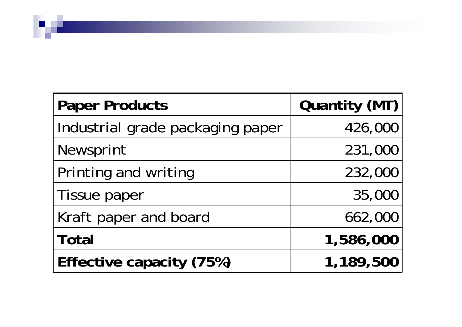| <b>Paper Products</b>            | Quantity (MT) |  |
|----------------------------------|---------------|--|
| Industrial grade packaging paper | 426,000       |  |
| Newsprint                        | 231,000       |  |
| Printing and writing             | 232,000       |  |
| Tissue paper                     | 35,000        |  |
| Kraft paper and board            | 662,000       |  |
| <b>Total</b>                     | 1,586,000     |  |
| Effective capacity (75%)         | 1,189,500     |  |

**Participation**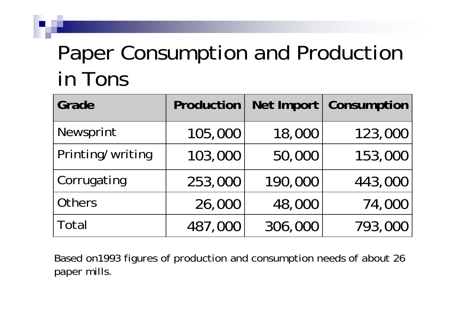### Paper Consumption and Production in Tons

| Grade            | Production |         | Net Import   Consumption |
|------------------|------------|---------|--------------------------|
| Newsprint        | 105,000    | 18,000  | 123,000                  |
| Printing/writing | 103,000    | 50,000  | 153,000                  |
| Corrugating      | 253,000    | 190,000 | 443,000                  |
| Others           | 26,000     | 48,000  | 74,000                   |
| Total            | 487,000    | 306,000 | 793,000                  |

Based on1993 figures of production and consumption needs of about 26 paper mills.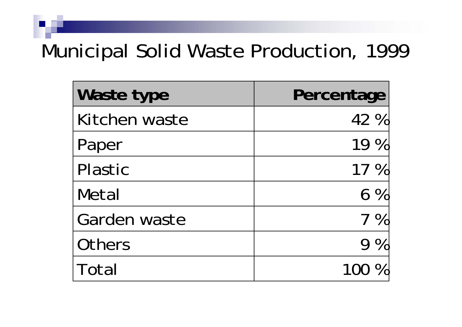### Municipal Solid Waste Production, 1999

| Waste type    | Percentage |
|---------------|------------|
| Kitchen waste | 42 %       |
| Paper         | 19 %       |
| Plastic       | 17 %       |
| Metal         | $6\%$      |
| Garden waste  | $7\%$      |
| Others        | $9\%$      |
| Total         |            |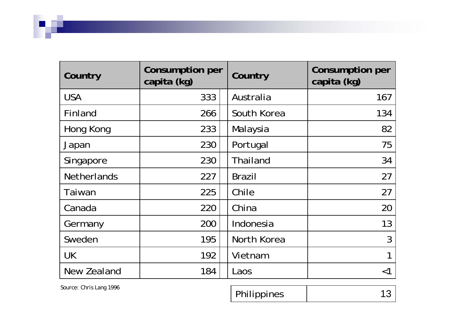| Country            | Consumption per<br>capita (kg) | Country         | <b>Consumption per</b><br>capita (kg) |
|--------------------|--------------------------------|-----------------|---------------------------------------|
| <b>USA</b>         | 333                            | Australia       | 167                                   |
| Finland            | 266                            | South Korea     | 134                                   |
| Hong Kong          | 233                            | Malaysia        | 82                                    |
| Japan              | 230                            | Portugal        | 75                                    |
| Singapore          | 230                            | <b>Thailand</b> | 34                                    |
| <b>Netherlands</b> | 227                            | <b>Brazil</b>   | 27                                    |
| Taiwan             | 225                            | Chile           | 27                                    |
| Canada             | 220                            | China           | 20                                    |
| Germany            | 200                            | Indonesia       | 13                                    |
| Sweden             | 195                            | North Korea     | 3                                     |
| <b>UK</b>          | 192                            | Vietnam         | 1                                     |
| New Zealand        | 184                            | Laos            | $<$ 1                                 |

v

*Source: Chris Lang 1996* 13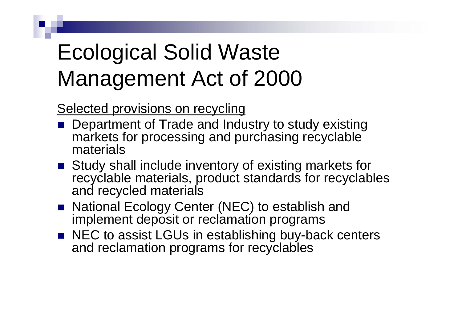## Ecological Solid Waste Management Act of 2000

Selected provisions on recycling

- **Department of Trade and Industry to study existing** markets for processing and purchasing recyclable materials
- Study shall include inventory of existing markets for recyclable materials, product standards for recyclables and recycled materials
- National Ecology Center (NEC) to establish and implement deposit or reclamation programs
- NEC to assist LGUs in establishing buy-back centers and reclamation programs for recyclables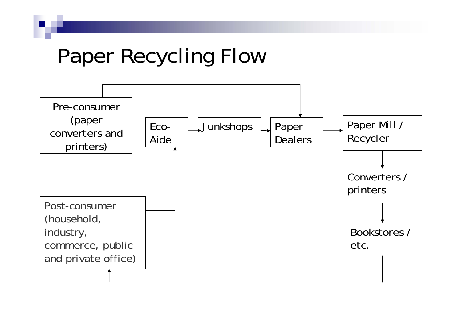### Paper Recycling Flow

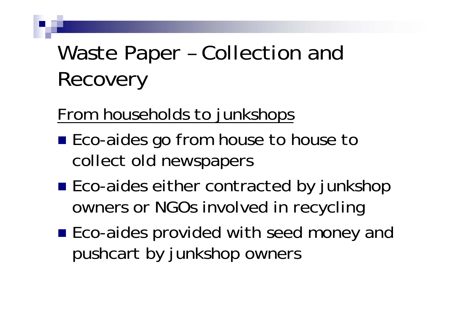## Waste Paper – Collection and Recovery

### From households to junkshops

- Eco-aides go from house to house to collect old newspapers
- Eco-aides either contracted by junkshop owners or NGOs involved in recycling
- Eco-aides provided with seed money and pushcart by junkshop owners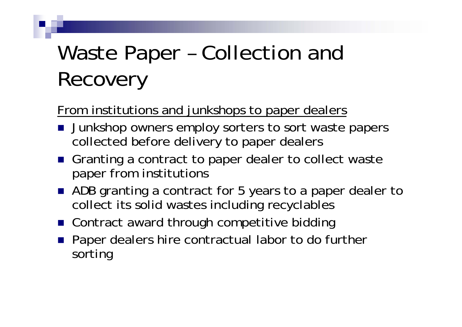## Waste Paper – Collection and Recovery

#### From institutions and junkshops to paper dealers

- **Junkshop owners employ sorters to sort waste papers** collected before delivery to paper dealers
- Granting a contract to paper dealer to collect waste paper from institutions
- ADB granting a contract for 5 years to a paper dealer to collect its solid wastes including recyclables
- Contract award through competitive bidding
- **Paper dealers hire contractual labor to do further** sorting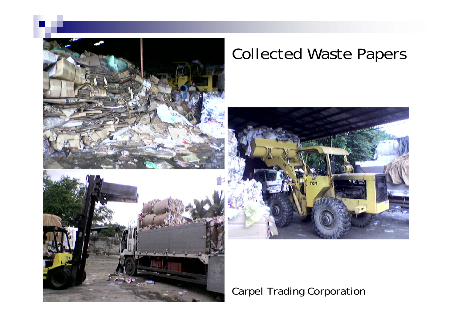

### Collected Waste Papers



Carpel Trading Corporation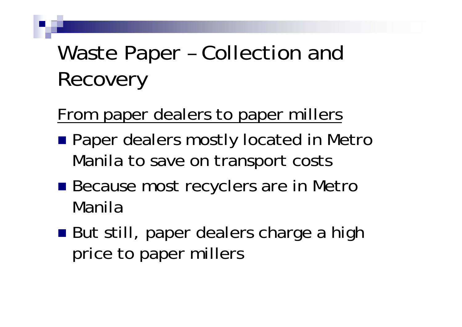## Waste Paper – Collection and Recovery

### From paper dealers to paper millers

- **Paper dealers mostly located in Metro** Manila to save on transport costs
- Because most recyclers are in Metro Manila
- But still, paper dealers charge a high price to paper millers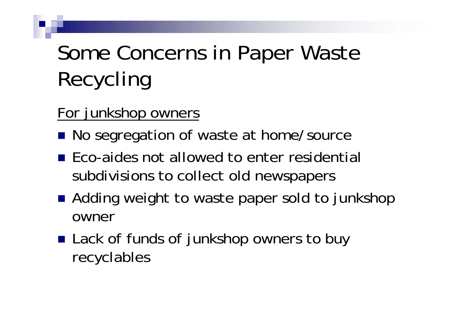## Some Concerns in Paper Waste Recycling

#### For junkshop owners

- No segregation of waste at home/source
- **Eco-aides not allowed to enter residential** subdivisions to collect old newspapers
- Adding weight to waste paper sold to junkshop owner
- Lack of funds of junkshop owners to buy recyclables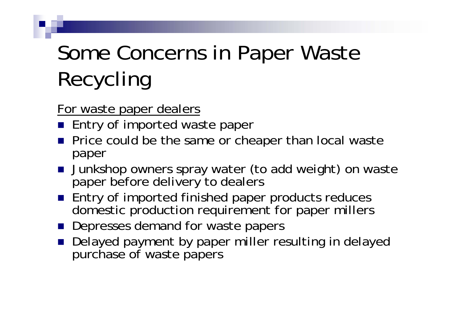# Some Concerns in Paper Waste Recycling

For waste paper dealers

- **Entry of imported waste paper**
- **Price could be the same or cheaper than local waste** paper
- **Junkshop owners spray water (to add weight) on waste** paper before delivery to dealers
- **Entry of imported finished paper products reduces** domestic production requirement for paper millers
- **Depresses demand for waste papers**
- Delayed payment by paper miller resulting in delayed purchase of waste papers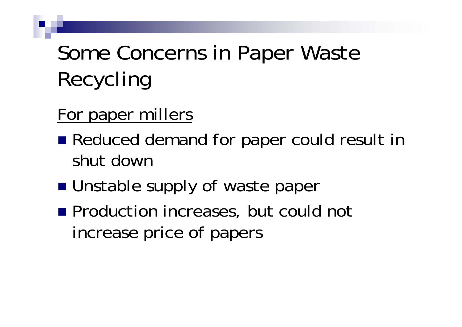## Some Concerns in Paper Waste Recycling

### For paper millers

- Reduced demand for paper could result in shut down
- **Unstable supply of waste paper**
- **Production increases, but could not** increase price of papers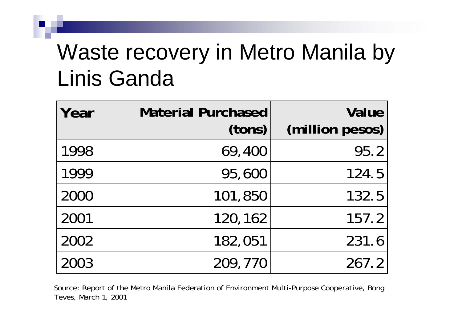### Waste recovery in Metro Manila by Linis Ganda

| Year | <b>Material Purchased</b><br>(tons) | <b>Value</b><br>(million pesos) |
|------|-------------------------------------|---------------------------------|
| 1998 | 69,400                              | 95.2                            |
| 1999 | 95,600                              | 124.5                           |
| 2000 | 101,850                             | 132.5                           |
| 2001 | 120,162                             | 157.2                           |
| 2002 | 182,051                             | 231.6                           |
| 2003 | 209,770                             | 267.2                           |

Source: Report of the Metro Manila Federation of Environment Multi-Purpose Cooperative, Bong Teves, March 1, 2001